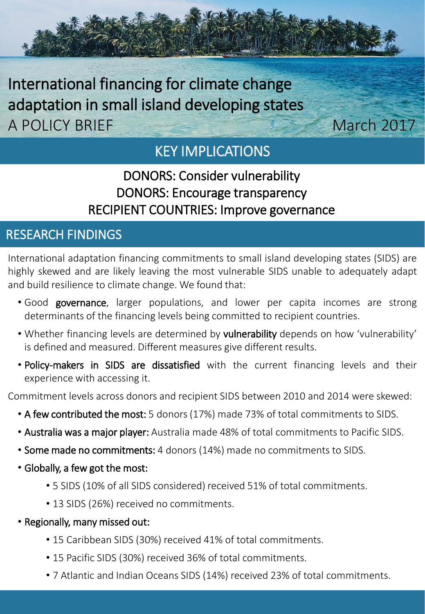

# KEY IMPLICATIONS

## DONORS: Consider vulnerability DONORS: Encourage transparency RECIPIENT COUNTRIES: Improve governance

### RESEARCH FINDINGS

International adaptation financing commitments to small island developing states (SIDS) are highly skewed and are likely leaving the most vulnerable SIDS unable to adequately adapt and build resilience to climate change. We found that:

- Good governance, larger populations, and lower per capita incomes are strong determinants of the financing levels being committed to recipient countries.
- Whether financing levels are determined by vulnerability depends on how 'vulnerability' is defined and measured. Different measures give different results.
- Policy-makers in SIDS are dissatisfied with the current financing levels and their experience with accessing it.

Commitment levels across donors and recipient SIDS between 2010 and 2014 were skewed:

- A few contributed the most: 5 donors (17%) made 73% of total commitments to SIDS.
- Australia was a major player: Australia made 48% of total commitments to Pacific SIDS.
- Some made no commitments: 4 donors (14%) made no commitments to SIDS.
- Globally, a few got the most:
	- 5 SIDS (10% of all SIDS considered) received 51% of total commitments.
	- 13 SIDS (26%) received no commitments.
- Regionally, many missed out:
	- 15 Caribbean SIDS (30%) received 41% of total commitments.
	- 15 Pacific SIDS (30%) received 36% of total commitments.
	- 7 Atlantic and Indian Oceans SIDS (14%) received 23% of total commitments.